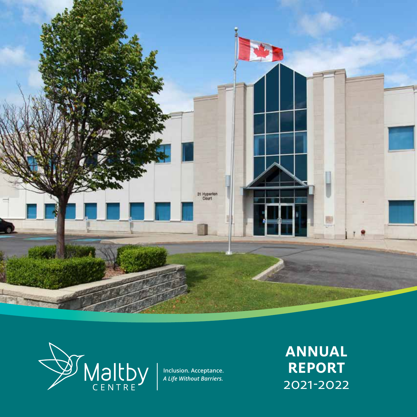



**Inclusion. Acceptance.**  *A Life Without Barriers.*

**ANNUAL REPORT** 2021-2022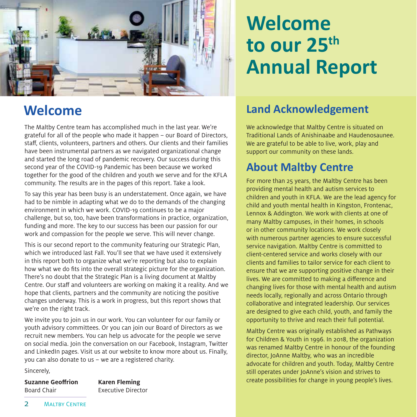

The Maltby Centre team has accomplished much in the last year. We're grateful for all of the people who made it happen – our Board of Directors, staff, clients, volunteers, partners and others. Our clients and their families have been instrumental partners as we navigated organizational change and started the long road of pandemic recovery. Our success during this second year of the COVID-19 Pandemic has been because we worked together for the good of the children and youth we serve and for the KFLA community. The results are in the pages of this report. Take a look.

To say this year has been busy is an understatement. Once again, we have had to be nimble in adapting what we do to the demands of the changing environment in which we work. COVID-19 continues to be a major challenge, but so, too, have been transformations in practice, organization, funding and more. The key to our success has been our passion for our work and compassion for the people we serve. This will never change.

This is our second report to the community featuring our Strategic Plan, which we introduced last Fall. You'll see that we have used it extensively in this report both to organize what we're reporting but also to explain how what we do fits into the overall strategic picture for the organization. There's no doubt that the Strategic Plan is a living document at Maltby Centre. Our staff and volunteers are working on making it a reality. And we hope that clients, partners and the community are noticing the positive changes underway. This is a work in progress, but this report shows that we're on the right track.

We invite you to join us in our work. You can volunteer for our family or youth advisory committees. Or you can join our Board of Directors as we recruit new members. You can help us advocate for the people we serve on social media. Join the conversation on our Facebook, Instagram, Twitter and LinkedIn pages. Visit us at our website to know more about us. Finally, you can also donate to us – we are a registered charity.

Sincerely,

**Suzanne Geoffrion Karen Fleming**  Board Chair Executive Director

# **Welcome to our 25th Annual Report**

## **Welcome Land Acknowledgement**

We acknowledge that Maltby Centre is situated on Traditional Lands of Anishinaabe and Haudenosaunee. We are grateful to be able to live, work, play and support our community on these lands.

### **About Maltby Centre**

For more than 25 years, the Maltby Centre has been providing mental health and autism services to children and youth in KFLA. We are the lead agency for child and youth mental health in Kingston, Frontenac, Lennox & Addington. We work with clients at one of many Maltby campuses, in their homes, in schools or in other community locations. We work closely with numerous partner agencies to ensure successful service navigation. Maltby Centre is committed to client-centered service and works closely with our clients and families to tailor service for each client to ensure that we are supporting positive change in their lives. We are committed to making a difference and changing lives for those with mental health and autism needs locally, regionally and across Ontario through collaborative and integrated leadership. Our services are designed to give each child, youth, and family the opportunity to thrive and reach their full potential.

Maltby Centre was originally established as Pathways for Children & Youth in 1996. In 2018, the organization was renamed Maltby Centre in honour of the founding director, JoAnne Maltby, who was an incredible advocate for children and youth. Today, Maltby Centre still operates under JoAnne's vision and strives to create possibilities for change in young people's lives.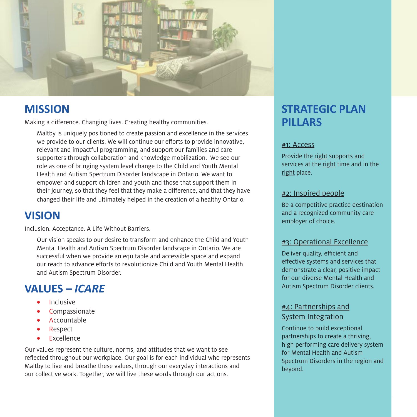

### **MISSION**

Making a difference. Changing lives. Creating healthy communities.

Maltby is uniquely positioned to create passion and excellence in the services we provide to our clients. We will continue our efforts to provide innovative, relevant and impactful programming, and support our families and care supporters through collaboration and knowledge mobilization. We see our role as one of bringing system level change to the Child and Youth Mental Health and Autism Spectrum Disorder landscape in Ontario. We want to empower and support children and youth and those that support them in their journey, so that they feel that they make a difference, and that they have changed their life and ultimately helped in the creation of a healthy Ontario.

### **VISION**

Inclusion. Acceptance. A Life Without Barriers.

Our vision speaks to our desire to transform and enhance the Child and Youth Mental Health and Autism Spectrum Disorder landscape in Ontario. We are successful when we provide an equitable and accessible space and expand our reach to advance efforts to revolutionize Child and Youth Mental Health and Autism Spectrum Disorder.

### **VALUES –** *ICARE*

- **Inclusive**
- **Compassionate**
- **Accountable**
- **Respect**
- **Excellence**

Our values represent the culture, norms, and attitudes that we want to see reflected throughout our workplace. Our goal is for each individual who represents Maltby to live and breathe these values, through our everyday interactions and our collective work. Together, we will live these words through our actions.

### **STRATEGIC PLAN PILLARS**

#### #1: Access

Provide the right supports and services at the right time and in the right place.

#### #2: Inspired people

Be a competitive practice destination and a recognized community care employer of choice.

#### #3: Operational Excellence

Deliver quality, efficient and effective systems and services that demonstrate a clear, positive impact for our diverse Mental Health and Autism Spectrum Disorder clients.

#### #4: Partnerships and System Integration

Continue to build exceptional partnerships to create a thriving, high performing care delivery system for Mental Health and Autism Spectrum Disorders in the region and beyond.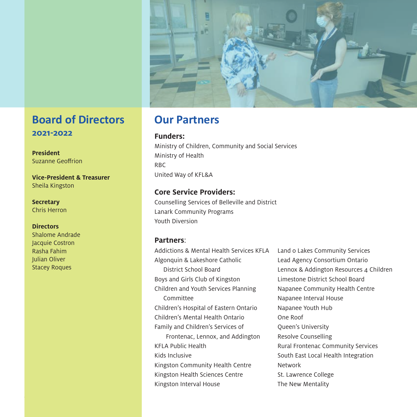

### **Board of Directors 2021-2022**

**President** Suzanne Geoffrion

**Vice-President & Treasurer** Sheila Kingston

**Secretary** Chris Herron

#### **Directors**

Shalome Andrade Jacquie Costron Rasha Fahim Julian Oliver Stacey Roques

### **Our Partners**

**Funders:**

Ministry of Children, Community and Social Services Ministry of Health RBC United Way of KFL&A

#### **Core Service Providers:**

Counselling Services of Belleville and District Lanark Community Programs Youth Diversion

#### **Partners**:

Addictions & Mental Health Services KFLA Algonquin & Lakeshore Catholic District School Board Boys and Girls Club of Kingston Children and Youth Services Planning Committee Children's Hospital of Eastern Ontario Children's Mental Health Ontario Family and Children's Services of Frontenac, Lennox, and Addington KFLA Public Health Kids Inclusive Kingston Community Health Centre Kingston Health Sciences Centre Kingston Interval House

Land o Lakes Community Services Lead Agency Consortium Ontario Lennox & Addington Resources 4 Children Limestone District School Board Napanee Community Health Centre Napanee Interval House Napanee Youth Hub One Roof Queen's University Resolve Counselling Rural Frontenac Community Services South East Local Health Integration Network St. Lawrence College The New Mentality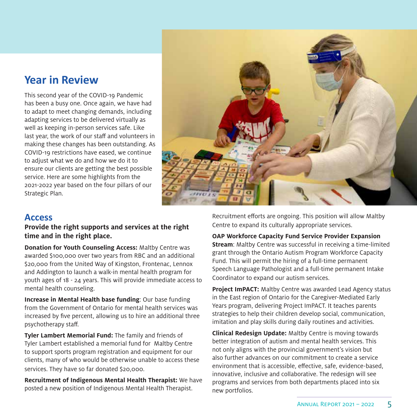### **Year in Review**

This second year of the COVID-19 Pandemic has been a busy one. Once again, we have had to adapt to meet changing demands, including adapting services to be delivered virtually as well as keeping in-person services safe. Like last year, the work of our staff and volunteers in making these changes has been outstanding. As COVID-19 restrictions have eased, we continue to adjust what we do and how we do it to ensure our clients are getting the best possible service. Here are some highlights from the 2021-2022 year based on the four pillars of our Strategic Plan.



#### **Access**

#### **Provide the right supports and services at the right time and in the right place.**

**Donation for Youth Counseling Access:** Maltby Centre was awarded \$100,000 over two years from RBC and an additional \$20,000 from the United Way of Kingston, Frontenac, Lennox and Addington to launch a walk-in mental health program for youth ages of 18 - 24 years. This will provide immediate access to mental health counseling.

**Increase in Mental Health base funding**: Our base funding from the Government of Ontario for mental health services was increased by five percent, allowing us to hire an additional three psychotherapy staff.

**Tyler Lambert Memorial Fund:** The family and friends of Tyler Lambert established a memorial fund for Maltby Centre to support sports program registration and equipment for our clients, many of who would be otherwise unable to access these services. They have so far donated \$20,000.

**Recruitment of Indigenous Mental Health Therapist:** We have posted a new position of Indigenous Mental Health Therapist.

Recruitment efforts are ongoing. This position will allow Maltby Centre to expand its culturally appropriate services.

**OAP Workforce Capacity Fund Service Provider Expansion Stream**: Maltby Centre was successful in receiving a time-limited grant through the Ontario Autism Program Workforce Capacity Fund. This will permit the hiring of a full-time permanent Speech Language Pathologist and a full-time permanent Intake Coordinator to expand our autism services.

**Project ImPACT:** Maltby Centre was awarded Lead Agency status in the East region of Ontario for the Caregiver-Mediated Early Years program, delivering Project ImPACT. It teaches parents strategies to help their children develop social, communication, imitation and play skills during daily routines and activities.

**Clinical Redesign Update:** Maltby Centre is moving towards better integration of autism and mental health services. This not only aligns with the provincial government's vision but also further advances on our commitment to create a service environment that is accessible, effective, safe, evidence-based, innovative, inclusive and collaborative. The redesign will see programs and services from both departments placed into six new portfolios.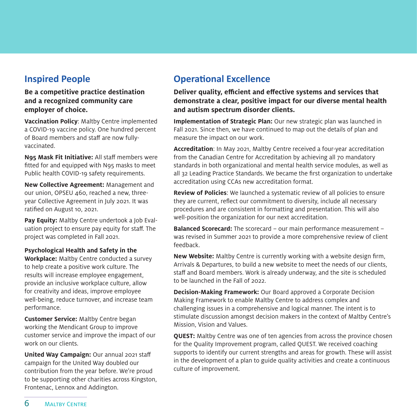### **Inspired People**

**Be a competitive practice destination and a recognized community care employer of choice.**

**Vaccination Policy**: Maltby Centre implemented a COVID-19 vaccine policy. One hundred percent of Board members and staff are now fullyvaccinated.

**N95 Mask Fit Initiative:** All staff members were fitted for and equipped with N95 masks to meet Public health COVID-19 safety requirements.

**New Collective Agreement:** Management and our union, OPSEU 460, reached a new, threeyear Collective Agreement in July 2021. It was ratified on August 10, 2021.

**Pay Equity:** Maltby Centre undertook a Job Evaluation project to ensure pay equity for staff. The project was completed in Fall 2021.

**Psychological Health and Safety in the Workplace:** Maltby Centre conducted a survey to help create a positive work culture. The results will increase employee engagement, provide an inclusive workplace culture, allow for creativity and ideas, improve employee well-being, reduce turnover, and increase team performance.

**Customer Service:** Maltby Centre began working the Mendicant Group to improve customer service and improve the impact of our work on our clients.

**United Way Campaign:** Our annual 2021 staff campaign for the United Way doubled our contribution from the year before. We're proud to be supporting other charities across Kingston, Frontenac, Lennox and Addington.

### **Operational Excellence**

**Deliver quality, efficient and effective systems and services that demonstrate a clear, positive impact for our diverse mental health and autism spectrum disorder clients.**

**Implementation of Strategic Plan:** Our new strategic plan was launched in Fall 2021. Since then, we have continued to map out the details of plan and measure the impact on our work.

**Accreditation**: In May 2021, Maltby Centre received a four-year accreditation from the Canadian Centre for Accreditation by achieving all 70 mandatory standards in both organizational and mental health service modules, as well as all 32 Leading Practice Standards. We became the first organization to undertake accreditation using CCAs new accreditation format.

**Review of Policies**: We launched a systematic review of all policies to ensure they are current, reflect our commitment to diversity, include all necessary procedures and are consistent in formatting and presentation. This will also well-position the organization for our next accreditation.

**Balanced Scorecard:** The scorecard – our main performance measurement – was revised in Summer 2021 to provide a more comprehensive review of client feedback.

**New Website:** Maltby Centre is currently working with a website design firm, Arrivals & Departures, to build a new website to meet the needs of our clients, staff and Board members. Work is already underway, and the site is scheduled to be launched in the Fall of 2022.

**Decision-Making Framework:** Our Board approved a Corporate Decision Making Framework to enable Maltby Centre to address complex and challenging issues in a comprehensive and logical manner. The intent is to stimulate discussion amongst decision makers in the context of Maltby Centre's Mission, Vision and Values.

**QUEST:** Maltby Centre was one of ten agencies from across the province chosen for the Quality Improvement program, called QUEST. We received coaching supports to identify our current strengths and areas for growth. These will assist in the development of a plan to guide quality activities and create a continuous culture of improvement.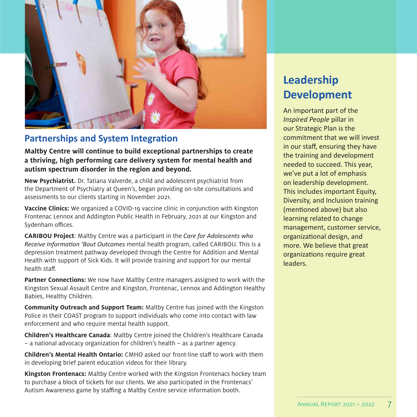

### **Partnerships and System Integration**

**Maltby Centre will continue to build exceptional partnerships to create a thriving, high performing care delivery system for mental health and autism spectrum disorder in the region and beyond.** 

**New Psychiatrist.** Dr. Tatiana Valverde, a child and adolescent psychiatrist from the Department of Psychiatry at Queen's, began providing on-site consultations and assessments to our clients starting in November 2021.

**Vaccine Clinics:** We organized a COVID-19 vaccine clinic in conjunction with Kingston Frontenac Lennox and Addington Public Health in February, 2021 at our Kingston and Sydenham offices.

**CARIBOU Project**: Maltby Centre was a participant in the *Care for Adolescents who Receive Information 'Bout Outcomes* mental health program, called CARIBOU. This is a depression treatment pathway developed through the Centre for Addition and Mental Health with support of Sick Kids. It will provide training and support for our mental health staff.

**Partner Connections:** We now have Maltby Centre managers assigned to work with the Kingston Sexual Assault Centre and Kingston, Frontenac, Lennox and Addington Healthy Babies, Healthy Children.

**Community Outreach and Support Team:** Maltby Centre has joined with the Kingston Police in their COAST program to support individuals who come into contact with law enforcement and who require mental health support.

**Children's Healthcare Canada**: Maltby Centre joined the Children's Healthcare Canada – a national advocacy organization for children's health – as a partner agency.

**Children's Mental Health Ontario:** CMHO asked our front-line staff to work with them in developing brief parent education videos for their library.

**Kingston Frontenacs:** Maltby Centre worked with the Kingston Frontenacs hockey team to purchase a block of tickets for our clients. We also participated in the Frontenacs' Autism Awareness game by staffing a Maltby Centre service information booth.

### **Leadership Development**

An important part of the *Inspired People* pillar in our Strategic Plan is the commitment that we will invest in our staff, ensuring they have the training and development needed to succeed. This year, we've put a lot of emphasis on leadership development. This includes important Equity, Diversity, and Inclusion training (mentioned above) but also learning related to change management, customer service, organizational design, and more. We believe that great organizations require great leaders.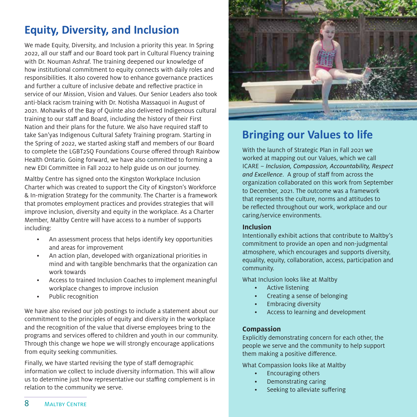### **Equity, Diversity, and Inclusion**

We made Equity, Diversity, and Inclusion a priority this year. In Spring 2022, all our staff and our Board took part in Cultural Fluency training with Dr. Nouman Ashraf. The training deepened our knowledge of how institutional commitment to equity connects with daily roles and responsibilities. It also covered how to enhance governance practices and further a culture of inclusive debate and reflective practice in service of our Mission, Vision and Values. Our Senior Leaders also took anti-black racism training with Dr. Notisha Massaquoi in August of 2021. Mohawks of the Bay of Quinte also delivered Indigenous cultural training to our staff and Board, including the history of their First Nation and their plans for the future. We also have required staff to take San'yas Indigenous Cultural Safety Training program. Starting in the Spring of 2022, we started asking staff and members of our Board to complete the LGBT2SQ Foundations Course offered through Rainbow Health Ontario. Going forward, we have also committed to forming a new EDI Committee in Fall 2022 to help guide us on our journey.

Maltby Centre has signed onto the Kingston Workplace Inclusion Charter which was created to support the City of Kingston's Workforce & In-migration Strategy for the community. The Charter is a framework that promotes employment practices and provides strategies that will improve inclusion, diversity and equity in the workplace. As a Charter Member, Maltby Centre will have access to a number of supports including:

- An assessment process that helps identify key opportunities and areas for improvement
- An action plan, developed with organizational priorities in mind and with tangible benchmarks that the organization can work towards
- Access to trained Inclusion Coaches to implement meaningful workplace changes to improve inclusion
- Public recognition

We have also revised our job postings to include a statement about our commitment to the principles of equity and diversity in the workplace and the recognition of the value that diverse employees bring to the programs and services offered to children and youth in our community. Through this change we hope we will strongly encourage applications from equity seeking communities.

Finally, we have started revising the type of staff demographic information we collect to include diversity information. This will allow us to determine just how representative our staffing complement is in relation to the community we serve.



### **Bringing our Values to life**

With the launch of Strategic Plan in Fall 2021 we worked at mapping out our Values, which we call ICARE – *Inclusion, Compassion, Accountability, Respect and Excellence*. A group of staff from across the organization collaborated on this work from September to December, 2021. The outcome was a framework that represents the culture, norms and attitudes to be reflected throughout our work, workplace and our caring/service environments.

#### **Inclusion**

Intentionally exhibit actions that contribute to Maltby's commitment to provide an open and non-judgmental atmosphere, which encourages and supports diversity, equality, equity, collaboration, access, participation and community.

What Inclusion looks like at Maltby

- Active listening
- Creating a sense of belonging
- Embracing diversity
- Access to learning and development

#### **Compassion**

Explicitly demonstrating concern for each other, the people we serve and the community to help support them making a positive difference.

What Compassion looks like at Maltby

- Encouraging others
- Demonstrating caring
- Seeking to alleviate suffering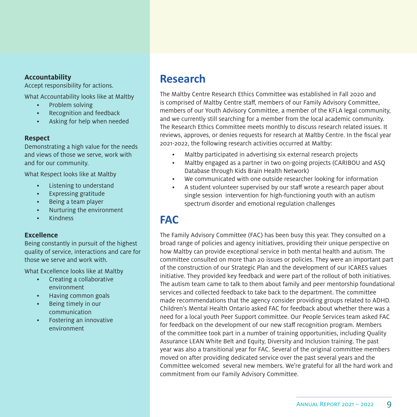#### **Accountability**

Accept responsibility for actions.

What Accountability looks like at Maltby

- Problem solving
- Recognition and feedback
- Asking for help when needed

#### **Respect**

Demonstrating a high value for the needs and views of those we serve, work with and for our community.

What Respect looks like at Maltby

- Listening to understand
- Expressing gratitude
- Being a team player
- Nurturing the environment
- Kindness

#### **Excellence**

Being constantly in pursuit of the highest quality of service, interactions and care for those we serve and work with.

What Excellence looks like at Maltby

- Creating a collaborative environment
- Having common goals
- Being timely in our communication
- Fostering an innovative environment

### **Research**

The Maltby Centre Research Ethics Committee was established in Fall 2020 and is comprised of Maltby Centre staff, members of our Family Advisory Committee, members of our Youth Advisory Committee, a member of the KFLA legal community, and we currently still searching for a member from the local academic community. The Research Ethics Committee meets monthly to discuss research related issues. It reviews, approves, or denies requests for research at Maltby Centre. In the fiscal year 2021-2022, the following research activities occurred at Maltby:

- Maltby participated in advertising six external research projects
- Maltby engaged as a partner in two on-going projects (CARIBOU and ASQ Database through Kids Brain Health Network)
- We communicated with one outside researcher looking for information
- A student volunteer supervised by our staff wrote a research paper about single session intervention for high-functioning youth with an autism spectrum disorder and emotional regulation challenges

### **FAC**

The Family Advisory Committee (FAC) has been busy this year. They consulted on a broad range of policies and agency initiatives, providing their unique perspective on how Maltby can provide exceptional service in both mental health and autism. The committee consulted on more than 20 issues or policies. They were an important part of the construction of our Strategic Plan and the development of our ICARES values initiative. They provided key feedback and were part of the rollout of both initiatives. The autism team came to talk to them about family and peer mentorship foundational services and collected feedback to take back to the department. The committee made recommendations that the agency consider providing groups related to ADHD. Children's Mental Health Ontario asked FAC for feedback about whether there was a need for a local youth Peer Support committee. Our People Services team asked FAC for feedback on the development of our new staff recognition program. Members of the committee took part in a number of training opportunities, including Quality Assurance LEAN White Belt and Equity, Diversity and Inclusion training. The past year was also a transitional year for FAC. Several of the original committee members moved on after providing dedicated service over the past several years and the Committee welcomed several new members. We're grateful for all the hard work and commitment from our Family Advisory Committee.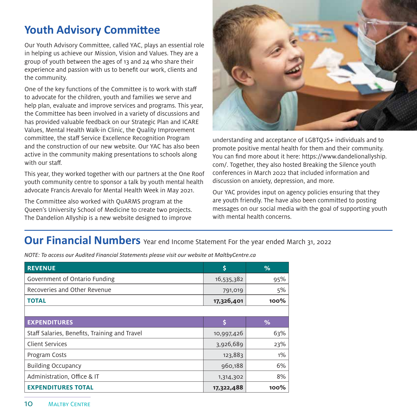### **Youth Advisory Committee**

Our Youth Advisory Committee, called YAC, plays an essential role in helping us achieve our Mission, Vision and Values. They are a group of youth between the ages of 13 and 24 who share their experience and passion with us to benefit our work, clients and the community.

One of the key functions of the Committee is to work with staff to advocate for the children, youth and families we serve and help plan, evaluate and improve services and programs. This year, the Committee has been involved in a variety of discussions and has provided valuable feedback on our Strategic Plan and ICARE Values, Mental Health Walk-in Clinic, the Quality Improvement committee, the staff Service Excellence Recognition Program and the construction of our new website. Our YAC has also been active in the community making presentations to schools along with our staff.

This year, they worked together with our partners at the One Roof youth community centre to sponsor a talk by youth mental health advocate Francis Arevalo for Mental Health Week in May 2021.

The Committee also worked with QuARMS program at the Queen's University School of Medicine to create two projects. The Dandelion Allyship is a new website designed to improve



understanding and acceptance of LGBTQ2S+ individuals and to promote positive mental health for them and their community. You can find more about it here: https://www.dandelionallyship. com/. Together, they also hosted Breaking the Silence youth conferences in March 2022 that included information and discussion on anxiety, depression, and more.

Our YAC provides input on agency policies ensuring that they are youth friendly. The have also been committed to posting messages on our social media with the goal of supporting youth with mental health concerns.

### **Our Financial Numbers** Year end Income Statement For the year ended March 31, 2022

*NOTE: To access our Audited Financial Statements please visit our website at MaltbyCentre.ca*

| <b>REVENUE</b>                                | \$         | %     |
|-----------------------------------------------|------------|-------|
| Government of Ontario Funding                 | 16,535,382 | 95%   |
| Recoveries and Other Revenue                  | 791,019    | 5%    |
| <b>TOTAL</b>                                  | 17,326,401 | 100%  |
|                                               |            |       |
| <b>EXPENDITURES</b>                           | Ś          | %     |
| Staff Salaries, Benefits, Training and Travel | 10,997,426 | 63%   |
| <b>Client Services</b>                        | 3,926,689  | 23%   |
| Program Costs                                 | 123,883    | $1\%$ |
| <b>Building Occupancy</b>                     | 960,188    | 6%    |
| Administration, Office & IT                   | 1,314,302  | 8%    |
| <b>EXPENDITURES TOTAL</b>                     | 17,322,488 | 100%  |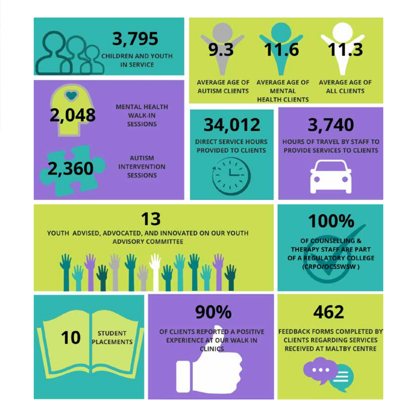